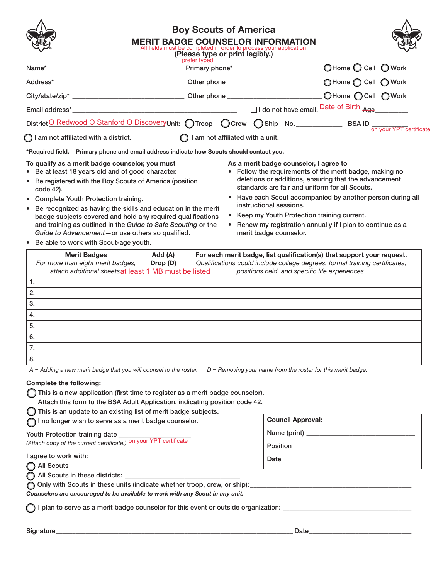|                                                                                           | <b>Boy Scouts of America</b><br><b>MERIT BADGE COUNSELOR INFORMATION</b><br>All fields must be completed in order to process your application<br>(Please type or print legibly.) |                                        |                                                           |  |
|-------------------------------------------------------------------------------------------|----------------------------------------------------------------------------------------------------------------------------------------------------------------------------------|----------------------------------------|-----------------------------------------------------------|--|
|                                                                                           | prefer typed                                                                                                                                                                     |                                        |                                                           |  |
|                                                                                           |                                                                                                                                                                                  |                                        |                                                           |  |
|                                                                                           |                                                                                                                                                                                  |                                        |                                                           |  |
|                                                                                           |                                                                                                                                                                                  |                                        | $\Box$ I do not have email. Date of Birth $_{\text{Age}}$ |  |
|                                                                                           |                                                                                                                                                                                  |                                        |                                                           |  |
| $\bigcap$ I am not affiliated with a district. $\bigcap$ I am not affiliated with a unit. |                                                                                                                                                                                  |                                        |                                                           |  |
| *Required field. Primary phone and email address indicate how Scouts should contact you.  |                                                                                                                                                                                  |                                        |                                                           |  |
| To qualify as a merit badge counselor, you must                                           |                                                                                                                                                                                  | As a merit badge counselor, I agree to |                                                           |  |

- Be at least 18 years old and of good character.
- Be registered with the Boy Scouts of America (position code 42).
- Complete Youth Protection training.
- Be recognized as having the skills and education in the merit badge subjects covered and hold any required qualifications and training as outlined in the *Guide to Safe Scouting* or the *Guide to Advancement*—or use others so qualified.
- Follow the requirements of the merit badge, making no deletions or additions, ensuring that the advancement standards are fair and uniform for all Scouts.
- Have each Scout accompanied by another person during all instructional sessions.
- Keep my Youth Protection training current.
- Renew my registration annually if I plan to continue as a merit badge counselor.

• Be able to work with Scout-age youth.

| <b>Merit Badges</b><br>For more than eight merit badges, | Add (A)<br>Drop (D) | For each merit badge, list qualification(s) that support your request.<br>Qualifications could include college degrees, formal training certificates, |
|----------------------------------------------------------|---------------------|-------------------------------------------------------------------------------------------------------------------------------------------------------|
| attach additional sheetsat least 1 MB must be listed     |                     | positions held, and specific life experiences.                                                                                                        |
| ι.                                                       |                     |                                                                                                                                                       |
| 2.                                                       |                     |                                                                                                                                                       |
| 3.                                                       |                     |                                                                                                                                                       |
| 4.                                                       |                     |                                                                                                                                                       |
| 5.                                                       |                     |                                                                                                                                                       |
| 6.                                                       |                     |                                                                                                                                                       |
| 7.                                                       |                     |                                                                                                                                                       |
| 8.                                                       |                     |                                                                                                                                                       |

*A = Adding a new merit badge that you will counsel to the roster. D = Removing your name from the roster for this merit badge.*

### Complete the following:

This is a new application (first time to register as a merit badge counselor).

Attach this form to the BSA Adult Application, indicating position code 42.

 $\bigcirc$  This is an update to an existing list of merit badge subjects.

**I** no longer wish to serve as a merit badge counselor.

#### Youth Protection training date

*(Attach copy of the current certificate.)* on your YPT certificate

I agree to work with:

All Scouts

 $\bigcap$  All Scouts in these districts:  $\bigcup$ 

O Only with Scouts in these units (indicate whether troop, crew, or ship):

*Counselors are encouraged to be available to work with any Scout in any unit.*

 $\bigcap$  I plan to serve as a merit badge counselor for this event or outside organization:  $\bigcup$ 

Council Approval:

Date

Name (print) \_\_\_\_\_\_\_\_\_\_\_\_\_\_\_\_\_\_\_\_\_\_\_\_\_\_\_\_\_\_\_\_\_

Position \_\_\_\_\_\_\_\_\_\_\_\_\_\_\_\_\_\_\_\_\_\_\_\_\_\_\_\_\_\_\_\_\_\_\_\_\_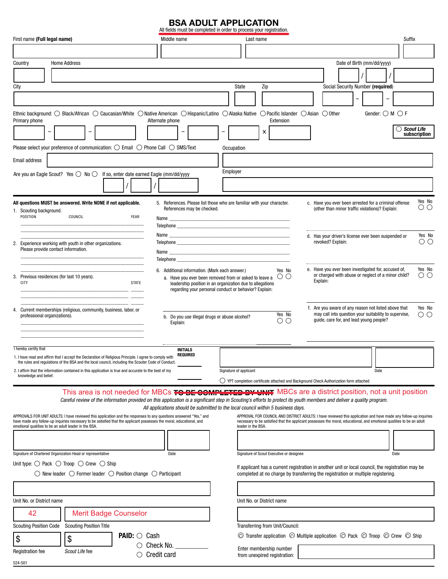# **BSA ADULT APPLICATION**<br>All fields must be completed in order to process your registration.

| First name (Full legal name)                                                                                                                                                                                                                                                                                                | Middle name                                                                                                                                                  | Last name                                                                                                                                                                             | <b>Suffix</b>                                                                                                                                            |  |  |  |  |
|-----------------------------------------------------------------------------------------------------------------------------------------------------------------------------------------------------------------------------------------------------------------------------------------------------------------------------|--------------------------------------------------------------------------------------------------------------------------------------------------------------|---------------------------------------------------------------------------------------------------------------------------------------------------------------------------------------|----------------------------------------------------------------------------------------------------------------------------------------------------------|--|--|--|--|
|                                                                                                                                                                                                                                                                                                                             |                                                                                                                                                              |                                                                                                                                                                                       |                                                                                                                                                          |  |  |  |  |
| <b>Home Address</b><br>Country                                                                                                                                                                                                                                                                                              |                                                                                                                                                              |                                                                                                                                                                                       | Date of Birth (mm/dd/yyyy)                                                                                                                               |  |  |  |  |
|                                                                                                                                                                                                                                                                                                                             |                                                                                                                                                              |                                                                                                                                                                                       |                                                                                                                                                          |  |  |  |  |
| City                                                                                                                                                                                                                                                                                                                        |                                                                                                                                                              | State<br>Zip                                                                                                                                                                          | Social Security Number (required)                                                                                                                        |  |  |  |  |
|                                                                                                                                                                                                                                                                                                                             |                                                                                                                                                              |                                                                                                                                                                                       |                                                                                                                                                          |  |  |  |  |
| Ethnic background: O Black/African O Caucasian/White O Native American O Hispanic/Latino O Alaska Native O Pacific Islander O Asian O Other<br>Gender: $\bigcirc$ M $\bigcirc$ F<br>Primary phone<br>Alternate phone<br>Extension                                                                                           |                                                                                                                                                              |                                                                                                                                                                                       |                                                                                                                                                          |  |  |  |  |
| $\overline{\phantom{a}}$                                                                                                                                                                                                                                                                                                    | $\qquad \qquad \blacksquare$                                                                                                                                 | x                                                                                                                                                                                     | $\bigcirc$ Scout Life<br>subscription                                                                                                                    |  |  |  |  |
| Please select your preference of communication: ○ Email ○ Phone Call ○ SMS/Text                                                                                                                                                                                                                                             |                                                                                                                                                              | Occupation                                                                                                                                                                            |                                                                                                                                                          |  |  |  |  |
| Email address                                                                                                                                                                                                                                                                                                               |                                                                                                                                                              |                                                                                                                                                                                       |                                                                                                                                                          |  |  |  |  |
| Are you an Eagle Scout? Yes $\bigcirc$ No $\bigcirc$ If so, enter date earned Eagle (mm/dd/yyyy                                                                                                                                                                                                                             |                                                                                                                                                              | Employer                                                                                                                                                                              |                                                                                                                                                          |  |  |  |  |
|                                                                                                                                                                                                                                                                                                                             |                                                                                                                                                              |                                                                                                                                                                                       |                                                                                                                                                          |  |  |  |  |
|                                                                                                                                                                                                                                                                                                                             |                                                                                                                                                              |                                                                                                                                                                                       | Yes No                                                                                                                                                   |  |  |  |  |
| All questions MUST be answered. Write NONE if not applicable.<br>1. Scouting background.                                                                                                                                                                                                                                    | 5. References. Please list those who are familiar with your character.<br>References may be checked.                                                         |                                                                                                                                                                                       | c. Have you ever been arrested for a criminal offense<br>ОO<br>(other than minor traffic violations)? Explain:                                           |  |  |  |  |
| POSITION<br>COUNCIL<br>YEAR                                                                                                                                                                                                                                                                                                 |                                                                                                                                                              |                                                                                                                                                                                       |                                                                                                                                                          |  |  |  |  |
|                                                                                                                                                                                                                                                                                                                             |                                                                                                                                                              |                                                                                                                                                                                       | Yes No<br>d. Has your driver's license ever been suspended or                                                                                            |  |  |  |  |
| 2. Experience working with youth in other organizations.<br>Please provide contact information.                                                                                                                                                                                                                             |                                                                                                                                                              |                                                                                                                                                                                       | $\circ$<br>revoked? Explain:                                                                                                                             |  |  |  |  |
|                                                                                                                                                                                                                                                                                                                             |                                                                                                                                                              |                                                                                                                                                                                       |                                                                                                                                                          |  |  |  |  |
|                                                                                                                                                                                                                                                                                                                             | 6. Additional information. (Mark each answer.)                                                                                                               | Yes No                                                                                                                                                                                | e. Have you ever been investigated for, accused of,<br>Yes No                                                                                            |  |  |  |  |
| 3. Previous residences (for last 10 years).<br><b>CITY</b><br><b>STATE</b>                                                                                                                                                                                                                                                  | a. Have you ever been removed from or asked to leave a $~\circlearrowright$ $\circlearrowright$<br>leadership position in an organization due to allegations |                                                                                                                                                                                       | or charged with abuse or neglect of a minor child?<br>ΟO<br>Explain:                                                                                     |  |  |  |  |
|                                                                                                                                                                                                                                                                                                                             | regarding your personal conduct or behavior? Explain:                                                                                                        |                                                                                                                                                                                       |                                                                                                                                                          |  |  |  |  |
|                                                                                                                                                                                                                                                                                                                             |                                                                                                                                                              |                                                                                                                                                                                       | f. Are you aware of any reason not listed above that<br>Yes No                                                                                           |  |  |  |  |
| 4. Current memberships (religious, community, business, labor, or<br>professional organizations).                                                                                                                                                                                                                           | b. Do you use illegal drugs or abuse alcohol?                                                                                                                | Yes No<br>OО                                                                                                                                                                          | may call into question your suitability to supervise,<br>ΟO<br>guide, care for, and lead young people?                                                   |  |  |  |  |
|                                                                                                                                                                                                                                                                                                                             | Explain:                                                                                                                                                     |                                                                                                                                                                                       |                                                                                                                                                          |  |  |  |  |
|                                                                                                                                                                                                                                                                                                                             |                                                                                                                                                              |                                                                                                                                                                                       |                                                                                                                                                          |  |  |  |  |
| I hereby certify that<br>1. I have read and affirm that I accept the Declaration of Religious Principle. I agree to comply with                                                                                                                                                                                             | <b>INITIALS</b><br><b>REQUIRED</b>                                                                                                                           |                                                                                                                                                                                       |                                                                                                                                                          |  |  |  |  |
| the rules and regulations of the BSA and the local council, including the Scouter Code of Conduct.                                                                                                                                                                                                                          |                                                                                                                                                              |                                                                                                                                                                                       |                                                                                                                                                          |  |  |  |  |
| 2. I affirm that the information contained in this application is true and accurate to the best of my<br>knowledge and belief.                                                                                                                                                                                              |                                                                                                                                                              | Signature of applicant<br>$\bigcirc$ YPT completion certificate attached and Background Check Authorization form attached                                                             | Date                                                                                                                                                     |  |  |  |  |
|                                                                                                                                                                                                                                                                                                                             |                                                                                                                                                              |                                                                                                                                                                                       | This area is not needed for MBCs TO BE COMPLETED BY UNIT MBCs are a district position, not a unit position                                               |  |  |  |  |
| Careful review of the information provided on this application is a significant step in Scouting's efforts to protect its youth members and deliver a quality program.                                                                                                                                                      |                                                                                                                                                              |                                                                                                                                                                                       |                                                                                                                                                          |  |  |  |  |
| All applications should be submitted to the local council within 5 business days.<br>APPROVALS FOR UNIT ADULTS: I have reviewed this application and the responses to any questions answered "Yes," and<br>APPROVAL FOR COUNCIL AND DISTRICT ADULTS: I have reviewed this application and have made any follow-up inquiries |                                                                                                                                                              |                                                                                                                                                                                       |                                                                                                                                                          |  |  |  |  |
| have made any follow-up inquiries necessary to be satisfied that the applicant possesses the moral, educational, and<br>emotional qualities to be an adult leader in the BSA.                                                                                                                                               |                                                                                                                                                              | leader in the BSA.                                                                                                                                                                    | necessary to be satisfied that the applicant possesses the moral, educational, and emotional qualities to be an adult                                    |  |  |  |  |
|                                                                                                                                                                                                                                                                                                                             |                                                                                                                                                              |                                                                                                                                                                                       |                                                                                                                                                          |  |  |  |  |
|                                                                                                                                                                                                                                                                                                                             |                                                                                                                                                              |                                                                                                                                                                                       |                                                                                                                                                          |  |  |  |  |
| Signature of Chartered Organization Head or representative<br>Unit type: $\bigcirc$ Pack $\bigcirc$ Troop $\bigcirc$ Crew $\bigcirc$ Ship                                                                                                                                                                                   | Date                                                                                                                                                         | Signature of Scout Executive or designee                                                                                                                                              | Date                                                                                                                                                     |  |  |  |  |
| $\bigcirc$ New leader $\bigcirc$ Former leader $\bigcirc$ Position change $\bigcirc$ Participant                                                                                                                                                                                                                            |                                                                                                                                                              | If applicant has a current registration in another unit or local council, the registration may be<br>completed at no charge by transferring the registration or multiple registering. |                                                                                                                                                          |  |  |  |  |
|                                                                                                                                                                                                                                                                                                                             |                                                                                                                                                              |                                                                                                                                                                                       |                                                                                                                                                          |  |  |  |  |
|                                                                                                                                                                                                                                                                                                                             |                                                                                                                                                              |                                                                                                                                                                                       |                                                                                                                                                          |  |  |  |  |
| Unit No. or District name                                                                                                                                                                                                                                                                                                   |                                                                                                                                                              | Unit No. or District name                                                                                                                                                             |                                                                                                                                                          |  |  |  |  |
| 42<br><b>Merit Badge Counselor</b>                                                                                                                                                                                                                                                                                          |                                                                                                                                                              |                                                                                                                                                                                       |                                                                                                                                                          |  |  |  |  |
| <b>Scouting Position Title</b><br><b>Scouting Position Code</b><br><b>PAID:</b> $\bigcirc$ Cash                                                                                                                                                                                                                             |                                                                                                                                                              | Transferring from Unit/Council:                                                                                                                                                       | $\circledcirc$ Transfer application $\circledcirc$ Multiple application $\circledcirc$ Pack $\circledcirc$ Troop $\circledcirc$ Crew $\circledcirc$ Ship |  |  |  |  |
| \$<br>\$                                                                                                                                                                                                                                                                                                                    | $\circ$ Check No. $\_\_$                                                                                                                                     |                                                                                                                                                                                       |                                                                                                                                                          |  |  |  |  |
| Scout Life fee<br><b>Registration fee</b>                                                                                                                                                                                                                                                                                   | $\circlearrowright$ Credit card                                                                                                                              | Enter membership number<br>from unexpired registration:                                                                                                                               |                                                                                                                                                          |  |  |  |  |

524-501